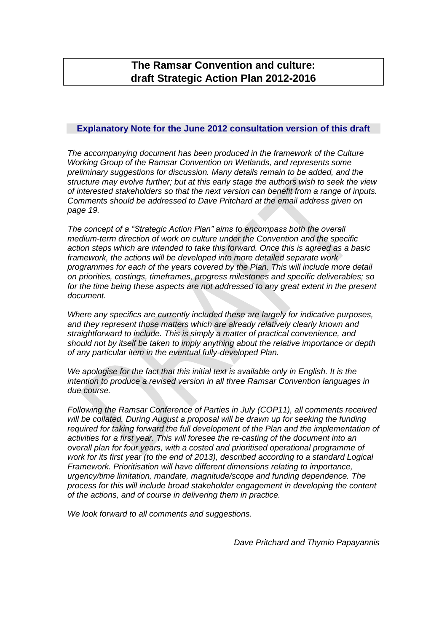# **The Ramsar Convention and culture: draft Strategic Action Plan 2012-2016**

#### **Explanatory Note for the June 2012 consultation version of this draft**

*The accompanying document has been produced in the framework of the Culture Working Group of the Ramsar Convention on Wetlands, and represents some preliminary suggestions for discussion. Many details remain to be added, and the structure may evolve further; but at this early stage the authors wish to seek the view of interested stakeholders so that the next version can benefit from a range of inputs. Comments should be addressed to Dave Pritchard at the email address given on page 19.*

*The concept of a "Strategic Action Plan" aims to encompass both the overall medium-term direction of work on culture under the Convention and the specific action steps which are intended to take this forward. Once this is agreed as a basic framework, the actions will be developed into more detailed separate work programmes for each of the years covered by the Plan. This will include more detail on priorities, costings, timeframes, progress milestones and specific deliverables; so*  for the time being these aspects are not addressed to any great extent in the present *document.*

*Where any specifics are currently included these are largely for indicative purposes, and they represent those matters which are already relatively clearly known and straightforward to include. This is simply a matter of practical convenience, and should not by itself be taken to imply anything about the relative importance or depth of any particular item in the eventual fully-developed Plan.*

*We apologise for the fact that this initial text is available only in English. It is the intention to produce a revised version in all three Ramsar Convention languages in due course.*

*Following the Ramsar Conference of Parties in July (COP11), all comments received will be collated. During August a proposal will be drawn up for seeking the funding required for taking forward the full development of the Plan and the implementation of activities for a first year. This will foresee the re-casting of the document into an overall plan for four years, with a costed and prioritised operational programme of work for its first year (to the end of 2013), described according to a standard Logical Framework. Prioritisation will have different dimensions relating to importance, urgency/time limitation, mandate, magnitude/scope and funding dependence. The process for this will include broad stakeholder engagement in developing the content of the actions, and of course in delivering them in practice.*

*We look forward to all comments and suggestions.*

*Dave Pritchard and Thymio Papayannis*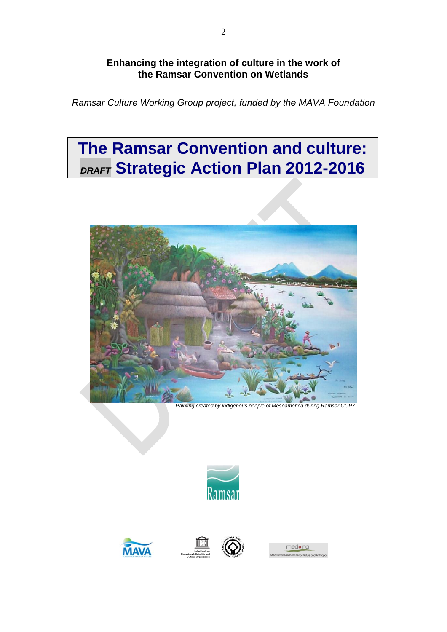## **Enhancing the integration of culture in the work of the Ramsar Convention on Wetlands**

*Ramsar Culture Working Group project, funded by the MAVA Foundation*

# **The Ramsar Convention and culture:** *DRAFT* **Strategic Action Plan 2012-2016**



*Painting created by indigenous people of Mesoamerica during Ramsar COP7*









medoina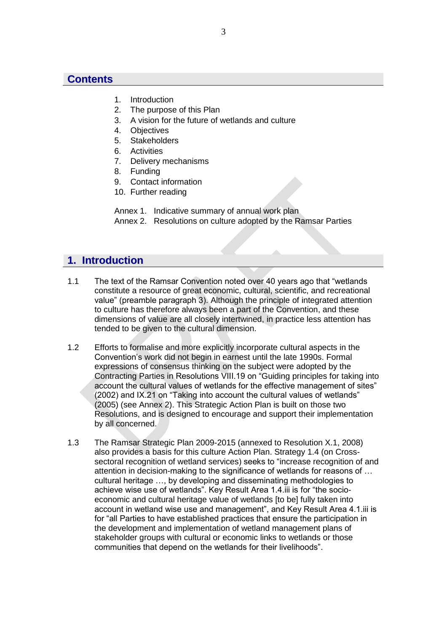## **Contents**

- 1. Introduction
- 2. The purpose of this Plan
- 3. A vision for the future of wetlands and culture
- 4. Objectives
- 5. Stakeholders
- 6. Activities
- 7. Delivery mechanisms
- 8. Funding
- 9. Contact information
- 10. Further reading

Annex 1. Indicative summary of annual work plan Annex 2. Resolutions on culture adopted by the Ramsar Parties

## **1. Introduction**

- 1.1 The text of the Ramsar Convention noted over 40 years ago that "wetlands constitute a resource of great economic, cultural, scientific, and recreational value" (preamble paragraph 3). Although the principle of integrated attention to culture has therefore always been a part of the Convention, and these dimensions of value are all closely intertwined, in practice less attention has tended to be given to the cultural dimension.
- 1.2 Efforts to formalise and more explicitly incorporate cultural aspects in the Convention's work did not begin in earnest until the late 1990s. Formal expressions of consensus thinking on the subject were adopted by the Contracting Parties in Resolutions VIII.19 on "Guiding principles for taking into account the cultural values of wetlands for the effective management of sites" (2002) and IX.21 on "Taking into account the cultural values of wetlands" (2005) (see Annex 2). This Strategic Action Plan is built on those two Resolutions, and is designed to encourage and support their implementation by all concerned.
- 1.3 The Ramsar Strategic Plan 2009-2015 (annexed to Resolution X.1, 2008) also provides a basis for this culture Action Plan. Strategy 1.4 (on Crosssectoral recognition of wetland services) seeks to "increase recognition of and attention in decision-making to the significance of wetlands for reasons of … cultural heritage …, by developing and disseminating methodologies to achieve wise use of wetlands". Key Result Area 1.4.iii is for "the socioeconomic and cultural heritage value of wetlands [to be] fully taken into account in wetland wise use and management", and Key Result Area 4.1.iii is for "all Parties to have established practices that ensure the participation in the development and implementation of wetland management plans of stakeholder groups with cultural or economic links to wetlands or those communities that depend on the wetlands for their livelihoods".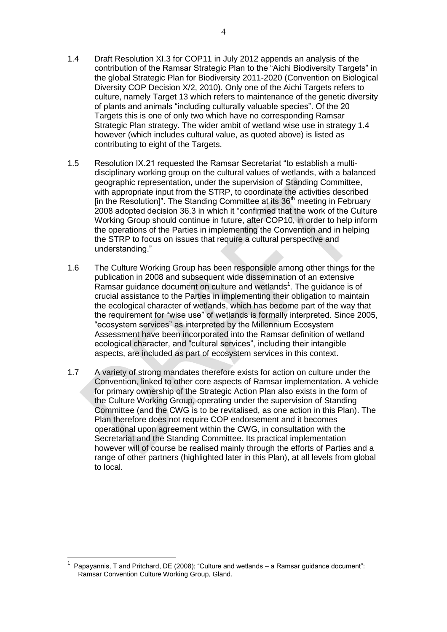- 1.4 Draft Resolution XI.3 for COP11 in July 2012 appends an analysis of the contribution of the Ramsar Strategic Plan to the "Aichi Biodiversity Targets" in the global Strategic Plan for Biodiversity 2011-2020 (Convention on Biological Diversity COP Decision X/2, 2010). Only one of the Aichi Targets refers to culture, namely Target 13 which refers to maintenance of the genetic diversity of plants and animals "including culturally valuable species". Of the 20 Targets this is one of only two which have no corresponding Ramsar Strategic Plan strategy. The wider ambit of wetland wise use in strategy 1.4 however (which includes cultural value, as quoted above) is listed as contributing to eight of the Targets.
- 1.5 Resolution IX.21 requested the Ramsar Secretariat "to establish a multidisciplinary working group on the cultural values of wetlands, with a balanced geographic representation, under the supervision of Standing Committee, with appropriate input from the STRP, to coordinate the activities described [in the Resolution]". The Standing Committee at its  $36<sup>th</sup>$  meeting in February 2008 adopted decision 36.3 in which it "confirmed that the work of the Culture Working Group should continue in future, after COP10, in order to help inform the operations of the Parties in implementing the Convention and in helping the STRP to focus on issues that require a cultural perspective and understanding."
- 1.6 The Culture Working Group has been responsible among other things for the publication in 2008 and subsequent wide dissemination of an extensive Ramsar guidance document on culture and wetlands<sup>1</sup>. The guidance is of crucial assistance to the Parties in implementing their obligation to maintain the ecological character of wetlands, which has become part of the way that the requirement for "wise use" of wetlands is formally interpreted. Since 2005, "ecosystem services" as interpreted by the Millennium Ecosystem Assessment have been incorporated into the Ramsar definition of wetland ecological character, and "cultural services", including their intangible aspects, are included as part of ecosystem services in this context.
- 1.7 A variety of strong mandates therefore exists for action on culture under the Convention, linked to other core aspects of Ramsar implementation. A vehicle for primary ownership of the Strategic Action Plan also exists in the form of the Culture Working Group, operating under the supervision of Standing Committee (and the CWG is to be revitalised, as one action in this Plan). The Plan therefore does not require COP endorsement and it becomes operational upon agreement within the CWG, in consultation with the Secretariat and the Standing Committee. Its practical implementation however will of course be realised mainly through the efforts of Parties and a range of other partners (highlighted later in this Plan), at all levels from global to local.

 $\overline{a}$ 

<sup>1</sup> Papayannis, T and Pritchard, DE (2008); "Culture and wetlands – a Ramsar guidance document": Ramsar Convention Culture Working Group, Gland.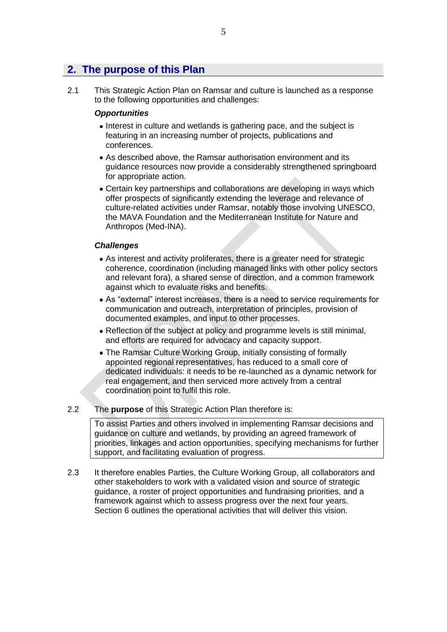## **2. The purpose of this Plan**

2.1 This Strategic Action Plan on Ramsar and culture is launched as a response to the following opportunities and challenges:

#### *Opportunities*

- Interest in culture and wetlands is gathering pace, and the subject is featuring in an increasing number of projects, publications and conferences.
- As described above, the Ramsar authorisation environment and its guidance resources now provide a considerably strengthened springboard for appropriate action.
- Certain key partnerships and collaborations are developing in ways which offer prospects of significantly extending the leverage and relevance of culture-related activities under Ramsar, notably those involving UNESCO, the MAVA Foundation and the Mediterranean Institute for Nature and Anthropos (Med-INA).

#### *Challenges*

- As interest and activity proliferates, there is a greater need for strategic coherence, coordination (including managed links with other policy sectors and relevant fora), a shared sense of direction, and a common framework against which to evaluate risks and benefits.
- As "external" interest increases, there is a need to service requirements for communication and outreach, interpretation of principles, provision of documented examples, and input to other processes.
- Reflection of the subject at policy and programme levels is still minimal, and efforts are required for advocacy and capacity support.
- The Ramsar Culture Working Group, initially consisting of formally appointed regional representatives, has reduced to a small core of dedicated individuals: it needs to be re-launched as a dynamic network for real engagement, and then serviced more actively from a central coordination point to fulfil this role.

#### 2.2 The **purpose** of this Strategic Action Plan therefore is:

To assist Parties and others involved in implementing Ramsar decisions and guidance on culture and wetlands, by providing an agreed framework of priorities, linkages and action opportunities, specifying mechanisms for further support, and facilitating evaluation of progress.

2.3 It therefore enables Parties, the Culture Working Group, all collaborators and other stakeholders to work with a validated vision and source of strategic guidance, a roster of project opportunities and fundraising priorities, and a framework against which to assess progress over the next four years. Section 6 outlines the operational activities that will deliver this vision.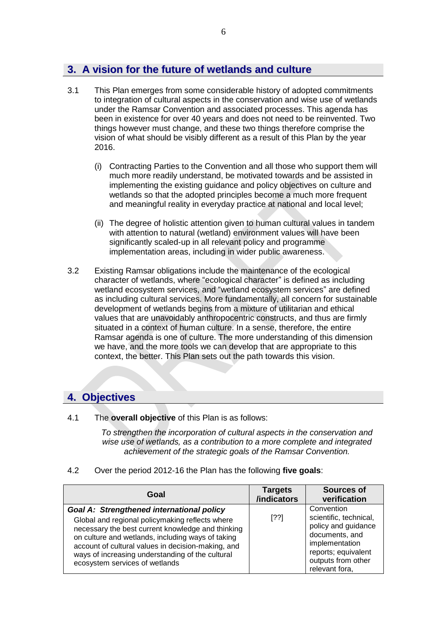# **3. A vision for the future of wetlands and culture**

- 3.1 This Plan emerges from some considerable history of adopted commitments to integration of cultural aspects in the conservation and wise use of wetlands under the Ramsar Convention and associated processes. This agenda has been in existence for over 40 years and does not need to be reinvented. Two things however must change, and these two things therefore comprise the vision of what should be visibly different as a result of this Plan by the year 2016.
	- (i) Contracting Parties to the Convention and all those who support them will much more readily understand, be motivated towards and be assisted in implementing the existing guidance and policy objectives on culture and wetlands so that the adopted principles become a much more frequent and meaningful reality in everyday practice at national and local level;
	- (ii) The degree of holistic attention given to human cultural values in tandem with attention to natural (wetland) environment values will have been significantly scaled-up in all relevant policy and programme implementation areas, including in wider public awareness.
- 3.2 Existing Ramsar obligations include the maintenance of the ecological character of wetlands, where "ecological character" is defined as including wetland ecosystem services, and "wetland ecosystem services" are defined as including cultural services. More fundamentally, all concern for sustainable development of wetlands begins from a mixture of utilitarian and ethical values that are unavoidably anthropocentric constructs, and thus are firmly situated in a context of human culture. In a sense, therefore, the entire Ramsar agenda is one of culture. The more understanding of this dimension we have, and the more tools we can develop that are appropriate to this context, the better. This Plan sets out the path towards this vision.

## **4. Objectives**

4.1 The **overall objective** of this Plan is as follows:

*To strengthen the incorporation of cultural aspects in the conservation and wise use of wetlands, as a contribution to a more complete and integrated achievement of the strategic goals of the Ramsar Convention.*

### 4.2 Over the period 2012-16 the Plan has the following **five goals**:

| Goal                                                                                                                                                                                                                                                                                                                                                      | <b>Targets</b><br>/indicators | <b>Sources of</b><br>verification                                                                                                                              |
|-----------------------------------------------------------------------------------------------------------------------------------------------------------------------------------------------------------------------------------------------------------------------------------------------------------------------------------------------------------|-------------------------------|----------------------------------------------------------------------------------------------------------------------------------------------------------------|
| <b>Goal A: Strengthened international policy</b><br>Global and regional policymaking reflects where<br>necessary the best current knowledge and thinking<br>on culture and wetlands, including ways of taking<br>account of cultural values in decision-making, and<br>ways of increasing understanding of the cultural<br>ecosystem services of wetlands | [??]                          | Convention<br>scientific, technical,<br>policy and guidance<br>documents, and<br>implementation<br>reports; equivalent<br>outputs from other<br>relevant fora, |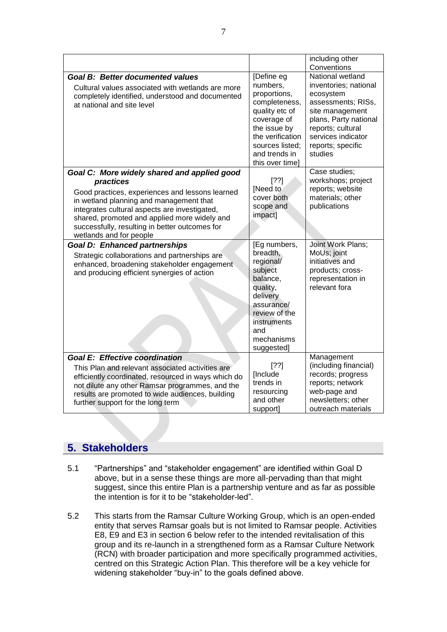|                                                                                                                                                                                                                                                                                                                                      |                                                                                                                                                                                     | including other<br>Conventions                                                                                                                                                                      |
|--------------------------------------------------------------------------------------------------------------------------------------------------------------------------------------------------------------------------------------------------------------------------------------------------------------------------------------|-------------------------------------------------------------------------------------------------------------------------------------------------------------------------------------|-----------------------------------------------------------------------------------------------------------------------------------------------------------------------------------------------------|
| <b>Goal B: Better documented values</b><br>Cultural values associated with wetlands are more<br>completely identified, understood and documented<br>at national and site level                                                                                                                                                       | [Define eg<br>numbers,<br>proportions,<br>completeness,<br>quality etc of<br>coverage of<br>the issue by<br>the verification<br>sources listed:<br>and trends in<br>this over time] | National wetland<br>inventories; national<br>ecosystem<br>assessments; RISs,<br>site management<br>plans, Party national<br>reports; cultural<br>services indicator<br>reports; specific<br>studies |
| Goal C: More widely shared and applied good<br>practices<br>Good practices, experiences and lessons learned<br>in wetland planning and management that<br>integrates cultural aspects are investigated,<br>shared, promoted and applied more widely and<br>successfully, resulting in better outcomes for<br>wetlands and for people | $[??]$<br>[Need to<br>cover both<br>scope and<br>impact]                                                                                                                            | Case studies;<br>workshops; project<br>reports; website<br>materials; other<br>publications                                                                                                         |
| <b>Goal D: Enhanced partnerships</b><br>Strategic collaborations and partnerships are<br>enhanced, broadening stakeholder engagement<br>and producing efficient synergies of action                                                                                                                                                  | [Eg numbers,<br>breadth,<br>regional/<br>subject<br>balance,<br>quality,<br>delivery<br>assurance/<br>review of the<br>instruments<br>and<br>mechanisms<br>suggested]               | Joint Work Plans;<br>MoUs; joint<br>initiatives and<br>products; cross-<br>representation in<br>relevant fora                                                                                       |
| <b>Goal E: Effective coordination</b><br>This Plan and relevant associated activities are<br>efficiently coordinated, resourced in ways which do<br>not dilute any other Ramsar programmes, and the<br>results are promoted to wide audiences, building<br>further support for the long term                                         | [??]<br>[Include<br>trends in<br>resourcing<br>and other<br>support]                                                                                                                | Management<br>(including financial)<br>records; progress<br>reports; network<br>web-page and<br>newsletters; other<br>outreach materials                                                            |

## **5. Stakeholders**

- 5.1 "Partnerships" and "stakeholder engagement" are identified within Goal D above, but in a sense these things are more all-pervading than that might suggest, since this entire Plan is a partnership venture and as far as possible the intention is for it to be "stakeholder-led".
- 5.2 This starts from the Ramsar Culture Working Group, which is an open-ended entity that serves Ramsar goals but is not limited to Ramsar people. Activities E8, E9 and E3 in section 6 below refer to the intended revitalisation of this group and its re-launch in a strengthened form as a Ramsar Culture Network (RCN) with broader participation and more specifically programmed activities, centred on this Strategic Action Plan. This therefore will be a key vehicle for widening stakeholder "buy-in" to the goals defined above.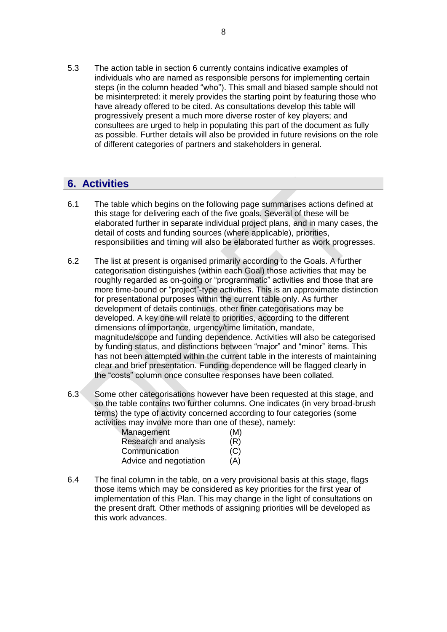5.3 The action table in section 6 currently contains indicative examples of individuals who are named as responsible persons for implementing certain steps (in the column headed "who"). This small and biased sample should not be misinterpreted: it merely provides the starting point by featuring those who have already offered to be cited. As consultations develop this table will progressively present a much more diverse roster of key players; and consultees are urged to help in populating this part of the document as fully as possible. Further details will also be provided in future revisions on the role of different categories of partners and stakeholders in general.

# **6. Activities**

- 6.1 The table which begins on the following page summarises actions defined at this stage for delivering each of the five goals. Several of these will be elaborated further in separate individual project plans, and in many cases, the detail of costs and funding sources (where applicable), priorities, responsibilities and timing will also be elaborated further as work progresses.
- 6.2 The list at present is organised primarily according to the Goals. A further categorisation distinguishes (within each Goal) those activities that may be roughly regarded as on-going or "programmatic" activities and those that are more time-bound or "project"-type activities. This is an approximate distinction for presentational purposes within the current table only. As further development of details continues, other finer categorisations may be developed. A key one will relate to priorities, according to the different dimensions of importance, urgency/time limitation, mandate, magnitude/scope and funding dependence. Activities will also be categorised by funding status, and distinctions between "major" and "minor" items. This has not been attempted within the current table in the interests of maintaining clear and brief presentation. Funding dependence will be flagged clearly in the "costs" column once consultee responses have been collated.
- 6.3 Some other categorisations however have been requested at this stage, and so the table contains two further columns. One indicates (in very broad-brush terms) the type of activity concerned according to four categories (some activities may involve more than one of these), namely:

| Management             | (M) |
|------------------------|-----|
| Research and analysis  | (R) |
| Communication          | (C) |
| Advice and negotiation | (A) |

6.4 The final column in the table, on a very provisional basis at this stage, flags those items which may be considered as key priorities for the first year of implementation of this Plan. This may change in the light of consultations on the present draft. Other methods of assigning priorities will be developed as this work advances.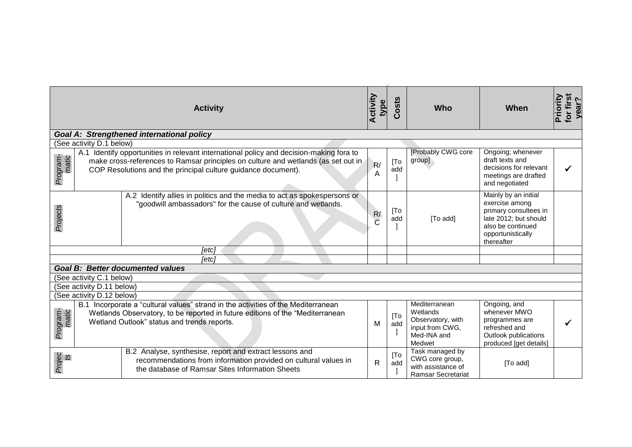|                                                  |                           | <b>Activity</b>                                                                                                                                                                                                                               | <b>Activity</b><br>type | Costs                    | <b>Who</b>                                                                            | When                                                                                                                                             | for first<br>Priority<br>yea |  |  |  |
|--------------------------------------------------|---------------------------|-----------------------------------------------------------------------------------------------------------------------------------------------------------------------------------------------------------------------------------------------|-------------------------|--------------------------|---------------------------------------------------------------------------------------|--------------------------------------------------------------------------------------------------------------------------------------------------|------------------------------|--|--|--|
| <b>Goal A: Strengthened international policy</b> |                           |                                                                                                                                                                                                                                               |                         |                          |                                                                                       |                                                                                                                                                  |                              |  |  |  |
|                                                  | (See activity D.1 below)  |                                                                                                                                                                                                                                               |                         |                          |                                                                                       |                                                                                                                                                  |                              |  |  |  |
| Program-<br>matic                                |                           | A.1 Identify opportunities in relevant international policy and decision-making fora to<br>make cross-references to Ramsar principles on culture and wetlands (as set out in<br>COP Resolutions and the principal culture guidance document). | R/<br>A                 | [To<br>add               | [Probably CWG core<br>group]                                                          | Ongoing; whenever<br>draft texts and<br>decisions for relevant<br>meetings are drafted<br>and negotiated                                         |                              |  |  |  |
| Projects                                         |                           | A.2 Identify allies in politics and the media to act as spokespersons or<br>"goodwill ambassadors" for the cause of culture and wetlands.                                                                                                     | R/<br>$\overline{C}$    | [To<br>add               | [To add]                                                                              | Mainly by an initial<br>exercise among<br>primary consultees in<br>late 2012; but should<br>also be continued<br>opportunistically<br>thereafter |                              |  |  |  |
|                                                  |                           | [etc]                                                                                                                                                                                                                                         |                         |                          |                                                                                       |                                                                                                                                                  |                              |  |  |  |
|                                                  |                           | [etc]                                                                                                                                                                                                                                         |                         |                          |                                                                                       |                                                                                                                                                  |                              |  |  |  |
|                                                  |                           | <b>Goal B: Better documented values</b>                                                                                                                                                                                                       |                         |                          |                                                                                       |                                                                                                                                                  |                              |  |  |  |
|                                                  | (See activity C.1 below)  |                                                                                                                                                                                                                                               |                         |                          |                                                                                       |                                                                                                                                                  |                              |  |  |  |
|                                                  | (See activity D.11 below) |                                                                                                                                                                                                                                               |                         |                          |                                                                                       |                                                                                                                                                  |                              |  |  |  |
|                                                  | (See activity D.12 below) |                                                                                                                                                                                                                                               |                         |                          | Mediterranean                                                                         |                                                                                                                                                  |                              |  |  |  |
| Program-<br>matic                                |                           | B.1 Incorporate a "cultural values" strand in the activities of the Mediterranean<br>Wetlands Observatory, to be reported in future editions of the "Mediterranean<br>Wetland Outlook" status and trends reports.                             | M                       | [T <sub>o</sub> ]<br>add | Wetlands<br>Observatory, with<br>input from CWG,<br>Med-INA and<br>Medwet             | Ongoing, and<br>whenever MWO<br>programmes are<br>refreshed and<br>Outlook publications<br>produced [get details]                                |                              |  |  |  |
| Projec<br>ts                                     |                           | B.2 Analyse, synthesise, report and extract lessons and<br>recommendations from information provided on cultural values in<br>the database of Ramsar Sites Information Sheets                                                                 | R                       | [To<br>add               | Task managed by<br>CWG core group,<br>with assistance of<br><b>Ramsar Secretariat</b> | [To add]                                                                                                                                         |                              |  |  |  |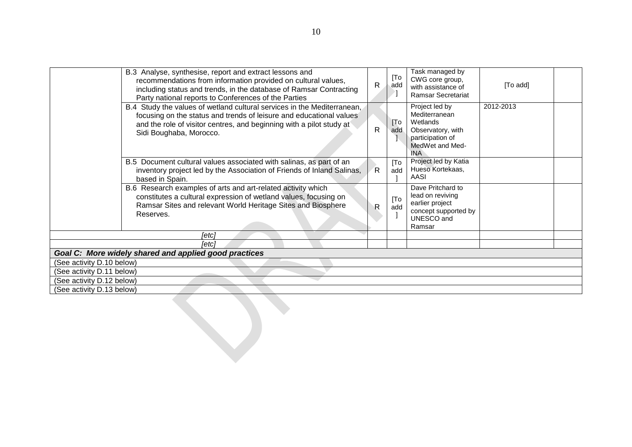|                           | B.3 Analyse, synthesise, report and extract lessons and<br>recommendations from information provided on cultural values,<br>including status and trends, in the database of Ramsar Contracting<br>Party national reports to Conferences of the Parties | $\mathsf{R}$ | [To<br>add               | Task managed by<br>CWG core group,<br>with assistance of<br>Ramsar Secretariat                                        | [To add]  |  |
|---------------------------|--------------------------------------------------------------------------------------------------------------------------------------------------------------------------------------------------------------------------------------------------------|--------------|--------------------------|-----------------------------------------------------------------------------------------------------------------------|-----------|--|
|                           | B.4 Study the values of wetland cultural services in the Mediterranean,<br>focusing on the status and trends of leisure and educational values<br>and the role of visitor centres, and beginning with a pilot study at<br>Sidi Boughaba, Morocco.      | $\mathsf{R}$ | [T <sub>o</sub> ]<br>add | Project led by<br>Mediterranean<br>Wetlands<br>Observatory, with<br>participation of<br>MedWet and Med-<br><b>INA</b> | 2012-2013 |  |
|                           | B.5 Document cultural values associated with salinas, as part of an<br>inventory project led by the Association of Friends of Inland Salinas,<br>based in Spain.                                                                                       | R            | [To<br>add               | Project led by Katia<br>Hueso Kortekaas,<br>AASI                                                                      |           |  |
|                           | B.6 Research examples of arts and art-related activity which<br>constitutes a cultural expression of wetland values, focusing on<br>Ramsar Sites and relevant World Heritage Sites and Biosphere<br>Reserves.                                          | $\mathsf{R}$ | [To<br>add               | Dave Pritchard to<br>lead on reviving<br>earlier project<br>concept supported by<br>UNESCO and<br>Ramsar              |           |  |
|                           | [etc]                                                                                                                                                                                                                                                  |              |                          |                                                                                                                       |           |  |
|                           | [etc]                                                                                                                                                                                                                                                  |              |                          |                                                                                                                       |           |  |
| (See activity D.10 below) | Goal C: More widely shared and applied good practices                                                                                                                                                                                                  |              |                          |                                                                                                                       |           |  |
| (See activity D.11 below) |                                                                                                                                                                                                                                                        |              |                          |                                                                                                                       |           |  |
| (See activity D.12 below) |                                                                                                                                                                                                                                                        |              |                          |                                                                                                                       |           |  |
| (See activity D.13 below) |                                                                                                                                                                                                                                                        |              |                          |                                                                                                                       |           |  |
|                           |                                                                                                                                                                                                                                                        |              |                          |                                                                                                                       |           |  |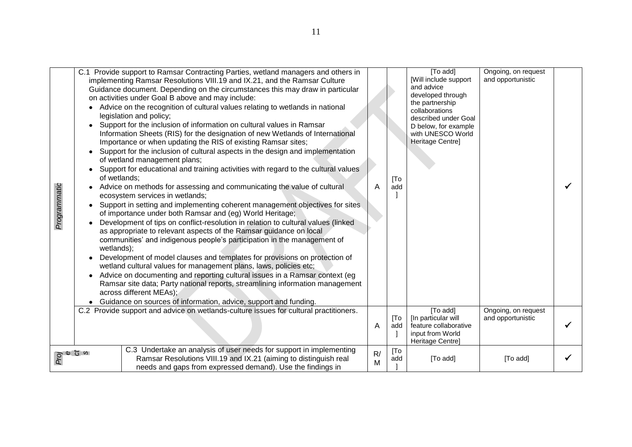| Programmatic | C.1 Provide support to Ramsar Contracting Parties, wetland managers and others in<br>implementing Ramsar Resolutions VIII.19 and IX.21, and the Ramsar Culture<br>Guidance document. Depending on the circumstances this may draw in particular<br>on activities under Goal B above and may include:<br>Advice on the recognition of cultural values relating to wetlands in national<br>legislation and policy;<br>Support for the inclusion of information on cultural values in Ramsar<br>Information Sheets (RIS) for the designation of new Wetlands of International<br>Importance or when updating the RIS of existing Ramsar sites;<br>Support for the inclusion of cultural aspects in the design and implementation<br>of wetland management plans;<br>Support for educational and training activities with regard to the cultural values<br>of wetlands;<br>Advice on methods for assessing and communicating the value of cultural<br>ecosystem services in wetlands;<br>Support in setting and implementing coherent management objectives for sites<br>of importance under both Ramsar and (eg) World Heritage;<br>Development of tips on conflict-resolution in relation to cultural values (linked<br>as appropriate to relevant aspects of the Ramsar guidance on local<br>communities' and indigenous people's participation in the management of<br>wetlands);<br>Development of model clauses and templates for provisions on protection of<br>wetland cultural values for management plans, laws, policies etc;<br>Advice on documenting and reporting cultural issues in a Ramsar context (eg<br>Ramsar site data; Party national reports, streamlining information management<br>across different MEAs);<br>Guidance on sources of information, advice, support and funding. | A       | [To<br>add | [To add]<br>[Will include support<br>and advice<br>developed through<br>the partnership<br>collaborations<br>described under Goal<br>D below, for example<br>with UNESCO World<br>Heritage Centre] | Ongoing, on request<br>and opportunistic |  |
|--------------|-----------------------------------------------------------------------------------------------------------------------------------------------------------------------------------------------------------------------------------------------------------------------------------------------------------------------------------------------------------------------------------------------------------------------------------------------------------------------------------------------------------------------------------------------------------------------------------------------------------------------------------------------------------------------------------------------------------------------------------------------------------------------------------------------------------------------------------------------------------------------------------------------------------------------------------------------------------------------------------------------------------------------------------------------------------------------------------------------------------------------------------------------------------------------------------------------------------------------------------------------------------------------------------------------------------------------------------------------------------------------------------------------------------------------------------------------------------------------------------------------------------------------------------------------------------------------------------------------------------------------------------------------------------------------------------------------------------------------------------------------------------------------------------------------------|---------|------------|----------------------------------------------------------------------------------------------------------------------------------------------------------------------------------------------------|------------------------------------------|--|
|              | C.2 Provide support and advice on wetlands-culture issues for cultural practitioners.                                                                                                                                                                                                                                                                                                                                                                                                                                                                                                                                                                                                                                                                                                                                                                                                                                                                                                                                                                                                                                                                                                                                                                                                                                                                                                                                                                                                                                                                                                                                                                                                                                                                                                               | A       | [To<br>add | [To add]<br>[In particular will<br>feature collaborative<br>input from World<br>Heritage Centre]                                                                                                   | Ongoing, on request<br>and opportunistic |  |
| o o d<br>o o | C.3 Undertake an analysis of user needs for support in implementing<br>Ramsar Resolutions VIII.19 and IX.21 (aiming to distinguish real<br>needs and gaps from expressed demand). Use the findings in                                                                                                                                                                                                                                                                                                                                                                                                                                                                                                                                                                                                                                                                                                                                                                                                                                                                                                                                                                                                                                                                                                                                                                                                                                                                                                                                                                                                                                                                                                                                                                                               | R/<br>M | [To<br>add | [To add]                                                                                                                                                                                           | [To add]                                 |  |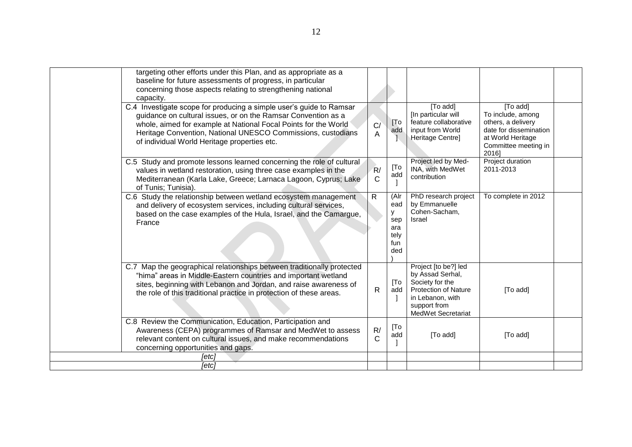| targeting other efforts under this Plan, and as appropriate as a<br>baseline for future assessments of progress, in particular<br>concerning those aspects relating to strengthening national<br>capacity.                                                                                                              |                    |                                                      |                                                                                                                                                      |                                                                                                                                     |  |
|-------------------------------------------------------------------------------------------------------------------------------------------------------------------------------------------------------------------------------------------------------------------------------------------------------------------------|--------------------|------------------------------------------------------|------------------------------------------------------------------------------------------------------------------------------------------------------|-------------------------------------------------------------------------------------------------------------------------------------|--|
| C.4 Investigate scope for producing a simple user's guide to Ramsar<br>guidance on cultural issues, or on the Ramsar Convention as a<br>whole, aimed for example at National Focal Points for the World<br>Heritage Convention, National UNESCO Commissions, custodians<br>of individual World Heritage properties etc. | C/<br>A            | [T <sub>o</sub> ]<br>add                             | [To add]<br>[In particular will<br>feature collaborative<br>input from World<br>Heritage Centre]                                                     | [To add]<br>To include, among<br>others, a delivery<br>date for dissemination<br>at World Heritage<br>Committee meeting in<br>2016] |  |
| C.5 Study and promote lessons learned concerning the role of cultural<br>values in wetland restoration, using three case examples in the<br>Mediterranean (Karla Lake, Greece; Larnaca Lagoon, Cyprus; Lake<br>of Tunis; Tunisia).                                                                                      | R/<br>C            | [To<br>add                                           | Project led by Med-<br>INA, with MedWet<br>contribution                                                                                              | Project duration<br>2011-2013                                                                                                       |  |
| C.6 Study the relationship between wetland ecosystem management<br>and delivery of ecosystem services, including cultural services,<br>based on the case examples of the Hula, Israel, and the Camargue,<br>France                                                                                                      | R                  | (Alr<br>ead<br>y<br>sep<br>ara<br>tely<br>fun<br>ded | PhD research project<br>by Emmanuelle<br>Cohen-Sacham,<br><b>Israel</b>                                                                              | To complete in 2012                                                                                                                 |  |
| C.7 Map the geographical relationships between traditionally protected<br>"hima" areas in Middle-Eastern countries and important wetland<br>sites, beginning with Lebanon and Jordan, and raise awareness of<br>the role of this traditional practice in protection of these areas.                                     | R                  | [To<br>add                                           | Project [to be?] led<br>by Assad Serhal,<br>Society for the<br><b>Protection of Nature</b><br>in Lebanon, with<br>support from<br>MedWet Secretariat | [To add]                                                                                                                            |  |
| C.8 Review the Communication, Education, Participation and<br>Awareness (CEPA) programmes of Ramsar and MedWet to assess<br>relevant content on cultural issues, and make recommendations<br>concerning opportunities and gaps.                                                                                         | R/<br>$\mathsf{C}$ | [To<br>add                                           | [To add]                                                                                                                                             | [To add]                                                                                                                            |  |
| [etc]                                                                                                                                                                                                                                                                                                                   |                    |                                                      |                                                                                                                                                      |                                                                                                                                     |  |
| [etc]                                                                                                                                                                                                                                                                                                                   |                    |                                                      |                                                                                                                                                      |                                                                                                                                     |  |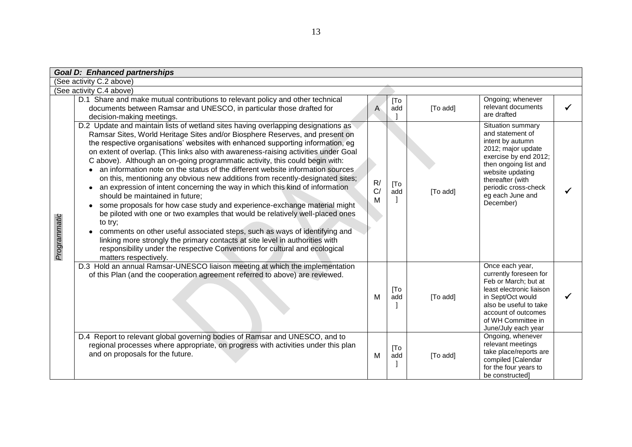|              | <b>Goal D: Enhanced partnerships</b>                                                                                                                                                                                                                                                                                                                                                                                                                                                                                                                                                                                                                                                                                                                                                                                                                                                                                                                                                                                                                                                                                                                             |               |                          |          |                                                                                                                                                                                                                                    |   |
|--------------|------------------------------------------------------------------------------------------------------------------------------------------------------------------------------------------------------------------------------------------------------------------------------------------------------------------------------------------------------------------------------------------------------------------------------------------------------------------------------------------------------------------------------------------------------------------------------------------------------------------------------------------------------------------------------------------------------------------------------------------------------------------------------------------------------------------------------------------------------------------------------------------------------------------------------------------------------------------------------------------------------------------------------------------------------------------------------------------------------------------------------------------------------------------|---------------|--------------------------|----------|------------------------------------------------------------------------------------------------------------------------------------------------------------------------------------------------------------------------------------|---|
|              | (See activity C.2 above)                                                                                                                                                                                                                                                                                                                                                                                                                                                                                                                                                                                                                                                                                                                                                                                                                                                                                                                                                                                                                                                                                                                                         |               |                          |          |                                                                                                                                                                                                                                    |   |
|              | (See activity C.4 above)                                                                                                                                                                                                                                                                                                                                                                                                                                                                                                                                                                                                                                                                                                                                                                                                                                                                                                                                                                                                                                                                                                                                         |               |                          |          |                                                                                                                                                                                                                                    |   |
|              | D.1 Share and make mutual contributions to relevant policy and other technical<br>documents between Ramsar and UNESCO, in particular those drafted for<br>decision-making meetings.                                                                                                                                                                                                                                                                                                                                                                                                                                                                                                                                                                                                                                                                                                                                                                                                                                                                                                                                                                              | A             | [T <sub>o</sub> ]<br>add | [To add] | Ongoing; whenever<br>relevant documents<br>are drafted                                                                                                                                                                             | ✓ |
| Programmatic | D.2 Update and maintain lists of wetland sites having overlapping designations as<br>Ramsar Sites, World Heritage Sites and/or Biosphere Reserves, and present on<br>the respective organisations' websites with enhanced supporting information, eg<br>on extent of overlap. (This links also with awareness-raising activities under Goal<br>C above). Although an on-going programmatic activity, this could begin with:<br>an information note on the status of the different website information sources.<br>on this, mentioning any obvious new additions from recently-designated sites;<br>an expression of intent concerning the way in which this kind of information<br>should be maintained in future;<br>some proposals for how case study and experience-exchange material might<br>be piloted with one or two examples that would be relatively well-placed ones<br>to try;<br>comments on other useful associated steps, such as ways of identifying and<br>linking more strongly the primary contacts at site level in authorities with<br>responsibility under the respective Conventions for cultural and ecological<br>matters respectively. | R/<br>C/<br>M | [To<br>add               | [To add] | Situation summary<br>and statement of<br>intent by autumn<br>2012; major update<br>exercise by end 2012;<br>then ongoing list and<br>website updating<br>thereafter (with<br>periodic cross-check<br>eg each June and<br>December) |   |
|              | D.3 Hold an annual Ramsar-UNESCO liaison meeting at which the implementation<br>of this Plan (and the cooperation agreement referred to above) are reviewed.                                                                                                                                                                                                                                                                                                                                                                                                                                                                                                                                                                                                                                                                                                                                                                                                                                                                                                                                                                                                     | М             | [T <sub>O</sub> ]<br>add | [To add] | Once each year,<br>currently foreseen for<br>Feb or March; but at<br>least electronic liaison<br>in Sept/Oct would<br>also be useful to take<br>account of outcomes<br>of WH Committee in<br>June/July each year                   | ✓ |
|              | D.4 Report to relevant global governing bodies of Ramsar and UNESCO, and to<br>regional processes where appropriate, on progress with activities under this plan<br>and on proposals for the future.                                                                                                                                                                                                                                                                                                                                                                                                                                                                                                                                                                                                                                                                                                                                                                                                                                                                                                                                                             | м             | [T <sub>o</sub> ]<br>add | [To add] | Ongoing, whenever<br>relevant meetings<br>take place/reports are<br>compiled [Calendar<br>for the four years to<br>be constructed]                                                                                                 |   |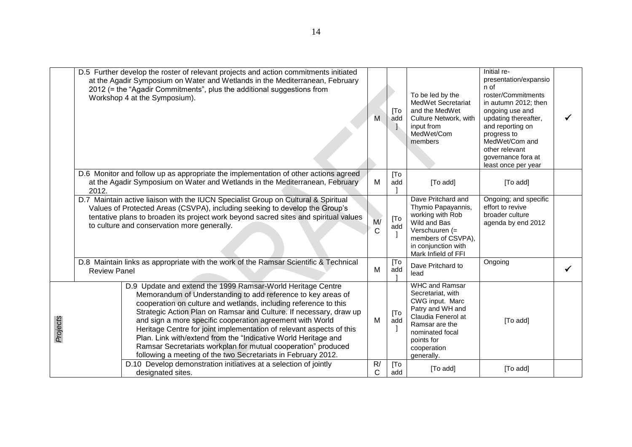|          | D.5 Further develop the roster of relevant projects and action commitments initiated<br>at the Agadir Symposium on Water and Wetlands in the Mediterranean, February<br>2012 (= the "Agadir Commitments", plus the additional suggestions from<br>Workshop 4 at the Symposium).                                                                                                                                                                                                                                                                                                                                | M                  | [To<br>add               | To be led by the<br>MedWet Secretariat<br>and the MedWet<br>Culture Network, with<br>input from<br>MedWet/Com<br>members                                                                | Initial re-<br>presentation/expansio<br>n of<br>roster/Commitments<br>in autumn 2012; then<br>ongoing use and<br>updating thereafter,<br>and reporting on<br>progress to<br>MedWet/Com and<br>other relevant<br>governance fora at<br>least once per year |  |
|----------|----------------------------------------------------------------------------------------------------------------------------------------------------------------------------------------------------------------------------------------------------------------------------------------------------------------------------------------------------------------------------------------------------------------------------------------------------------------------------------------------------------------------------------------------------------------------------------------------------------------|--------------------|--------------------------|-----------------------------------------------------------------------------------------------------------------------------------------------------------------------------------------|-----------------------------------------------------------------------------------------------------------------------------------------------------------------------------------------------------------------------------------------------------------|--|
|          | D.6 Monitor and follow up as appropriate the implementation of other actions agreed<br>at the Agadir Symposium on Water and Wetlands in the Mediterranean, February<br>2012.                                                                                                                                                                                                                                                                                                                                                                                                                                   | м                  | [To<br>add               | [To add]                                                                                                                                                                                | [To add]                                                                                                                                                                                                                                                  |  |
|          | D.7 Maintain active liaison with the IUCN Specialist Group on Cultural & Spiritual<br>Values of Protected Areas (CSVPA), including seeking to develop the Group's<br>tentative plans to broaden its project work beyond sacred sites and spiritual values<br>to culture and conservation more generally.                                                                                                                                                                                                                                                                                                       | M/<br>$\mathsf{C}$ | [To<br>add               | Dave Pritchard and<br>Thymio Papayannis,<br>working with Rob<br>Wild and Bas<br>Verschuuren (=<br>members of CSVPA),<br>in conjunction with<br>Mark Infield of FFI                      | Ongoing; and specific<br>effort to revive<br>broader culture<br>agenda by end 2012                                                                                                                                                                        |  |
|          | D.8 Maintain links as appropriate with the work of the Ramsar Scientific & Technical<br><b>Review Panel</b>                                                                                                                                                                                                                                                                                                                                                                                                                                                                                                    | M                  | [T <sub>O</sub> ]<br>add | Dave Pritchard to<br>lead                                                                                                                                                               | Ongoing                                                                                                                                                                                                                                                   |  |
| Projects | D.9 Update and extend the 1999 Ramsar-World Heritage Centre<br>Memorandum of Understanding to add reference to key areas of<br>cooperation on culture and wetlands, including reference to this<br>Strategic Action Plan on Ramsar and Culture. If necessary, draw up<br>and sign a more specific cooperation agreement with World<br>Heritage Centre for joint implementation of relevant aspects of this<br>Plan. Link with/extend from the "Indicative World Heritage and<br>Ramsar Secretariats workplan for mutual cooperation" produced<br>following a meeting of the two Secretariats in February 2012. | M                  | [To<br>add               | <b>WHC and Ramsar</b><br>Secretariat, with<br>CWG input. Marc<br>Patry and WH and<br>Claudia Fenerol at<br>Ramsar are the<br>nominated focal<br>points for<br>cooperation<br>generally. | [To add]                                                                                                                                                                                                                                                  |  |
|          | D.10 Develop demonstration initiatives at a selection of jointly<br>designated sites.                                                                                                                                                                                                                                                                                                                                                                                                                                                                                                                          | R/<br>C            | [To<br>add               | [To add]                                                                                                                                                                                | [To add]                                                                                                                                                                                                                                                  |  |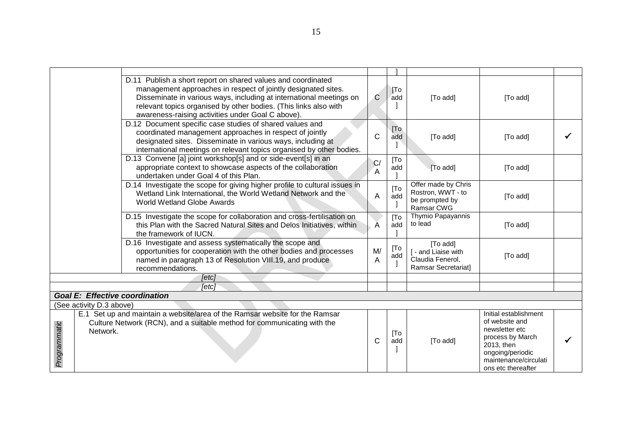|              |                                       | D.11 Publish a short report on shared values and coordinated<br>management approaches in respect of jointly designated sites.<br>Disseminate in various ways, including at international meetings on<br>relevant topics organised by other bodies. (This links also with<br>awareness-raising activities under Goal C above). | C       | [T <sub>o</sub> ]<br>add | [To add]                                                                   | [To add]                                                                                                                                                       |  |
|--------------|---------------------------------------|-------------------------------------------------------------------------------------------------------------------------------------------------------------------------------------------------------------------------------------------------------------------------------------------------------------------------------|---------|--------------------------|----------------------------------------------------------------------------|----------------------------------------------------------------------------------------------------------------------------------------------------------------|--|
|              |                                       | D.12 Document specific case studies of shared values and<br>coordinated management approaches in respect of jointly<br>designated sites. Disseminate in various ways, including at<br>international meetings on relevant topics organised by other bodies.                                                                    | C       | [To]<br>add              | [To add]                                                                   | [To add]                                                                                                                                                       |  |
|              |                                       | D.13 Convene [a] joint workshop[s] and or side-event[s] in an<br>appropriate context to showcase aspects of the collaboration<br>undertaken under Goal 4 of this Plan.                                                                                                                                                        | C/<br>A | [To<br>add               | [To add]                                                                   | [To add]                                                                                                                                                       |  |
|              |                                       | D.14 Investigate the scope for giving higher profile to cultural issues in<br>Wetland Link International, the World Wetland Network and the<br><b>World Wetland Globe Awards</b>                                                                                                                                              | A       | [To<br>add               | Offer made by Chris<br>Rostron, WWT - to<br>be prompted by<br>Ramsar CWG   | [To add]                                                                                                                                                       |  |
|              |                                       | D.15 Investigate the scope for collaboration and cross-fertilisation on<br>this Plan with the Sacred Natural Sites and Delos Initiatives, within<br>the framework of IUCN.                                                                                                                                                    | A       | [To<br>add               | Thymio Papayannis<br>to lead                                               | [To add]                                                                                                                                                       |  |
|              |                                       | D.16 Investigate and assess systematically the scope and<br>opportunities for cooperation with the other bodies and processes<br>named in paragraph 13 of Resolution VIII.19, and produce<br>recommendations.                                                                                                                 | M/<br>A | [To<br>add               | [To add]<br>[ - and Liaise with<br>Claudia Fenerol,<br>Ramsar Secretariat] | [To add]                                                                                                                                                       |  |
|              |                                       | [etc]                                                                                                                                                                                                                                                                                                                         |         |                          |                                                                            |                                                                                                                                                                |  |
|              |                                       | [etc]                                                                                                                                                                                                                                                                                                                         |         |                          |                                                                            |                                                                                                                                                                |  |
|              | <b>Goal E: Effective coordination</b> |                                                                                                                                                                                                                                                                                                                               |         |                          |                                                                            |                                                                                                                                                                |  |
|              | (See activity D.3 above)              |                                                                                                                                                                                                                                                                                                                               |         |                          |                                                                            |                                                                                                                                                                |  |
| Programmatic | Network.                              | E.1 Set up and maintain a website/area of the Ramsar website for the Ramsar<br>Culture Network (RCN), and a suitable method for communicating with the                                                                                                                                                                        | С       | [To<br>add               | [To add]                                                                   | Initial establishment<br>of website and<br>newsletter etc<br>process by March<br>2013, then<br>ongoing/periodic<br>maintenance/circulati<br>ons etc thereafter |  |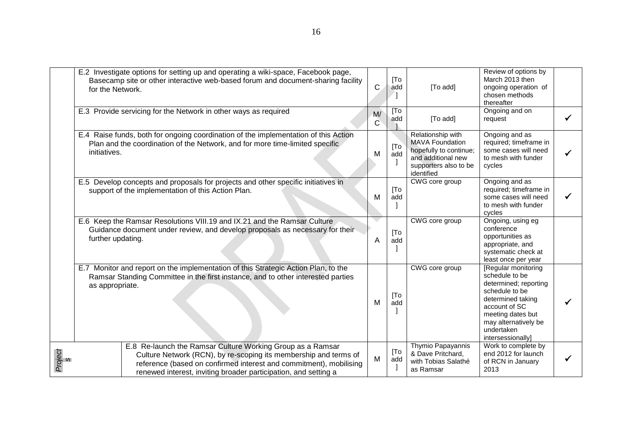|              | E.2 Investigate options for setting up and operating a wiki-space, Facebook page,<br>Basecamp site or other interactive web-based forum and document-sharing facility<br>for the Network.                                                                               | C                 | [To<br>add | [To add]                                                                                                                           | Review of options by<br>March 2013 then<br>ongoing operation of<br>chosen methods<br>thereafter                                                                                                         |  |
|--------------|-------------------------------------------------------------------------------------------------------------------------------------------------------------------------------------------------------------------------------------------------------------------------|-------------------|------------|------------------------------------------------------------------------------------------------------------------------------------|---------------------------------------------------------------------------------------------------------------------------------------------------------------------------------------------------------|--|
|              | E.3 Provide servicing for the Network in other ways as required                                                                                                                                                                                                         | M/<br>$\mathbf C$ | [To<br>add | [To add]                                                                                                                           | Ongoing and on<br>request                                                                                                                                                                               |  |
|              | E.4 Raise funds, both for ongoing coordination of the implementation of this Action<br>Plan and the coordination of the Network, and for more time-limited specific<br>initiatives.                                                                                     | M                 | [To<br>add | Relationship with<br><b>MAVA Foundation</b><br>hopefully to continue;<br>and additional new<br>supporters also to be<br>identified | Ongoing and as<br>required; timeframe in<br>some cases will need<br>to mesh with funder<br>cycles                                                                                                       |  |
|              | E.5 Develop concepts and proposals for projects and other specific initiatives in<br>support of the implementation of this Action Plan.                                                                                                                                 | M                 | [To<br>add | CWG core group                                                                                                                     | Ongoing and as<br>required; timeframe in<br>some cases will need<br>to mesh with funder<br>cycles                                                                                                       |  |
|              | E.6 Keep the Ramsar Resolutions VIII.19 and IX.21 and the Ramsar Culture<br>Guidance document under review, and develop proposals as necessary for their<br>further updating.                                                                                           | $\overline{A}$    | [To<br>add | CWG core group                                                                                                                     | Ongoing, using eg<br>conference<br>opportunities as<br>appropriate, and<br>systematic check at<br>least once per year                                                                                   |  |
|              | E.7 Monitor and report on the implementation of this Strategic Action Plan, to the<br>Ramsar Standing Committee in the first instance, and to other interested parties<br>as appropriate.                                                                               | м                 | [To<br>add | CWG core group                                                                                                                     | [Regular monitoring]<br>schedule to be<br>determined; reporting<br>schedule to be<br>determined taking<br>account of SC<br>meeting dates but<br>may alternatively be<br>undertaken<br>intersessionally] |  |
| Project<br>s | E.8 Re-launch the Ramsar Culture Working Group as a Ramsar<br>Culture Network (RCN), by re-scoping its membership and terms of<br>reference (based on confirmed interest and commitment), mobilising<br>renewed interest, inviting broader participation, and setting a | M                 | [To<br>add | Thymio Papayannis<br>& Dave Pritchard,<br>with Tobias Salathé<br>as Ramsar                                                         | Work to complete by<br>end 2012 for launch<br>of RCN in January<br>2013                                                                                                                                 |  |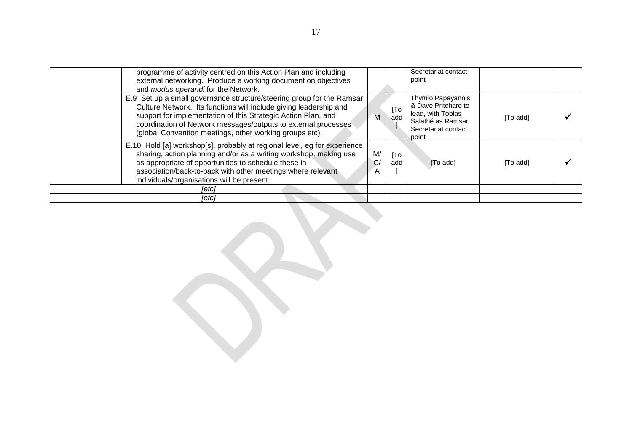| programme of activity centred on this Action Plan and including<br>external networking. Produce a working document on objectives<br>and modus operandi for the Network.                                                                                                                                                                  |               |            | Secretariat contact<br>point                                                                                       |          |  |
|------------------------------------------------------------------------------------------------------------------------------------------------------------------------------------------------------------------------------------------------------------------------------------------------------------------------------------------|---------------|------------|--------------------------------------------------------------------------------------------------------------------|----------|--|
| E.9 Set up a small governance structure/steering group for the Ramsar<br>Culture Network. Its functions will include giving leadership and<br>support for implementation of this Strategic Action Plan, and<br>coordination of Network messages/outputs to external processes<br>(global Convention meetings, other working groups etc). | Μ             | [To<br>add | Thymio Papayannis<br>& Dave Pritchard to<br>lead, with Tobias<br>Salathé as Ramsar<br>Secretariat contact<br>point | [To add] |  |
| E.10 Hold [a] workshop[s], probably at regional level, eg for experience<br>sharing, action planning and/or as a writing workshop, making use<br>as appropriate of opportunities to schedule these in<br>association/back-to-back with other meetings where relevant<br>individuals/organisations will be present.                       | M/<br>C/<br>A | [To<br>add | [To add]                                                                                                           | [To add] |  |
| [etc]                                                                                                                                                                                                                                                                                                                                    |               |            |                                                                                                                    |          |  |
| [etc]                                                                                                                                                                                                                                                                                                                                    |               |            |                                                                                                                    |          |  |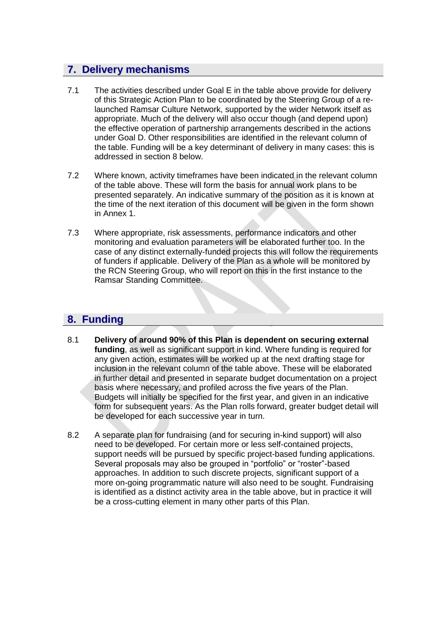## **7. Delivery mechanisms**

- 7.1 The activities described under Goal E in the table above provide for delivery of this Strategic Action Plan to be coordinated by the Steering Group of a relaunched Ramsar Culture Network, supported by the wider Network itself as appropriate. Much of the delivery will also occur though (and depend upon) the effective operation of partnership arrangements described in the actions under Goal D. Other responsibilities are identified in the relevant column of the table. Funding will be a key determinant of delivery in many cases: this is addressed in section 8 below.
- 7.2 Where known, activity timeframes have been indicated in the relevant column of the table above. These will form the basis for annual work plans to be presented separately. An indicative summary of the position as it is known at the time of the next iteration of this document will be given in the form shown in Annex 1.
- 7.3 Where appropriate, risk assessments, performance indicators and other monitoring and evaluation parameters will be elaborated further too. In the case of any distinct externally-funded projects this will follow the requirements of funders if applicable. Delivery of the Plan as a whole will be monitored by the RCN Steering Group, who will report on this in the first instance to the Ramsar Standing Committee.

# **8. Funding**

- 8.1 **Delivery of around 90% of this Plan is dependent on securing external funding**, as well as significant support in kind. Where funding is required for any given action, estimates will be worked up at the next drafting stage for inclusion in the relevant column of the table above. These will be elaborated in further detail and presented in separate budget documentation on a project basis where necessary, and profiled across the five years of the Plan. Budgets will initially be specified for the first year, and given in an indicative form for subsequent years. As the Plan rolls forward, greater budget detail will be developed for each successive year in turn.
- 8.2 A separate plan for fundraising (and for securing in-kind support) will also need to be developed. For certain more or less self-contained projects, support needs will be pursued by specific project-based funding applications. Several proposals may also be grouped in "portfolio" or "roster"-based approaches. In addition to such discrete projects, significant support of a more on-going programmatic nature will also need to be sought. Fundraising is identified as a distinct activity area in the table above, but in practice it will be a cross-cutting element in many other parts of this Plan.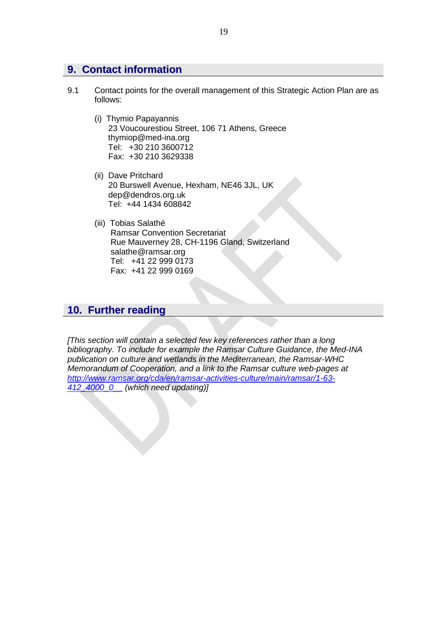## **9. Contact information**

- 9.1 Contact points for the overall management of this Strategic Action Plan are as follows:
	- (i) Thymio Papayannis 23 Voucourestiou Street, 106 71 Athens, Greece [thymiop@med-ina.org](mailto:thymiop@med-ina.org) Tel: +30 210 3600712 Fax: +30 210 3629338
	- (ii) Dave Pritchard 20 Burswell Avenue, Hexham, NE46 3JL, UK dep@dendros.org.uk Tel: +44 1434 608842
	- (iii) Tobias Salathé Ramsar Convention Secretariat Rue Mauverney 28, CH-1196 Gland, Switzerland [salathe@ramsar.org](mailto:salathe@ramsar.org) Tel: +41 22 999 0173 Fax: +41 22 999 0169

## **10. Further reading**

*[This section will contain a selected few key references rather than a long bibliography. To include for example the Ramsar Culture Guidance, the Med-INA publication on culture and wetlands in the Mediterranean, the Ramsar-WHC Memorandum of Cooperation, and a link to the Ramsar culture web-pages at [http://www.ramsar.org/cda/en/ramsar-activities-culture/main/ramsar/1-63-](http://www.ramsar.org/cda/en/ramsar-activities-culture/main/ramsar/1-63-412_4000_0__) [412\\_4000\\_0\\_\\_](http://www.ramsar.org/cda/en/ramsar-activities-culture/main/ramsar/1-63-412_4000_0__) (which need updating)]*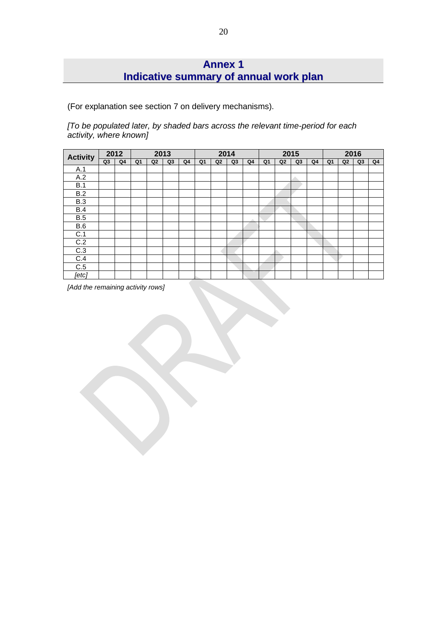# **Annex 1 Indicative summary of annual work plan**

(For explanation see section 7 on delivery mechanisms).

*[To be populated later, by shaded bars across the relevant time-period for each activity, where known]*

| <b>Activity</b> | 2012 |    | 2013 |    |    |    | 2014           |                |    |    | 2015 |                |    |                | 2016 |                |    |    |
|-----------------|------|----|------|----|----|----|----------------|----------------|----|----|------|----------------|----|----------------|------|----------------|----|----|
|                 | Q3   | Q4 | Q1   | Q2 | Q3 | Q4 | Q <sub>1</sub> | Q <sub>2</sub> | Q3 | Q4 | Q1   | Q <sub>2</sub> | Q3 | Q <sub>4</sub> | Q1   | Q <sub>2</sub> | Q3 | Q4 |
| A.1             |      |    |      |    |    |    |                |                |    |    |      |                |    |                |      |                |    |    |
| A.2             |      |    |      |    |    |    |                |                |    |    |      |                |    |                |      |                |    |    |
| B.1             |      |    |      |    |    |    |                |                |    |    |      |                |    |                |      |                |    |    |
| B.2             |      |    |      |    |    |    |                |                |    |    |      |                |    |                |      |                |    |    |
| B.3             |      |    |      |    |    |    |                |                |    |    |      |                |    |                |      |                |    |    |
| B.4             |      |    |      |    |    |    |                |                |    |    |      |                |    |                |      |                |    |    |
| B.5             |      |    |      |    |    |    |                |                |    |    |      |                |    |                |      |                |    |    |
| B.6             |      |    |      |    |    |    |                |                |    |    |      |                |    |                |      |                |    |    |
| C.1             |      |    |      |    |    |    |                |                |    |    |      |                |    |                |      |                |    |    |
| C.2             |      |    |      |    |    |    |                |                |    |    |      |                |    |                |      |                |    |    |
| C.3             |      |    |      |    |    |    |                |                |    |    |      |                |    |                |      |                |    |    |
| C.4             |      |    |      |    |    |    |                |                |    |    |      |                |    |                |      |                |    |    |
| C.5             |      |    |      |    |    |    |                |                |    |    |      |                |    |                |      |                |    |    |
| [etc]           |      |    |      |    |    |    |                |                |    |    |      |                |    |                |      |                |    |    |

*[Add the remaining activity rows]*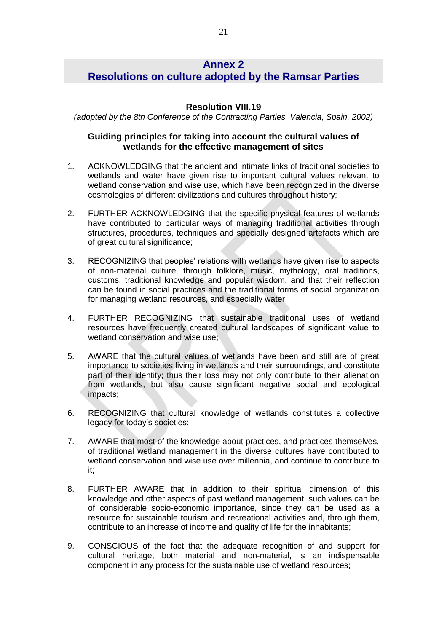## **Annex 2 Resolutions on culture adopted by the Ramsar Parties**

### **Resolution VIII.19**

*(adopted by the 8th Conference of the Contracting Parties, Valencia, Spain, 2002)*

### **Guiding principles for taking into account the cultural values of wetlands for the effective management of sites**

- 1. ACKNOWLEDGING that the ancient and intimate links of traditional societies to wetlands and water have given rise to important cultural values relevant to wetland conservation and wise use, which have been recognized in the diverse cosmologies of different civilizations and cultures throughout history;
- 2. FURTHER ACKNOWLEDGING that the specific physical features of wetlands have contributed to particular ways of managing traditional activities through structures, procedures, techniques and specially designed artefacts which are of great cultural significance;
- 3. RECOGNIZING that peoples' relations with wetlands have given rise to aspects of non-material culture, through folklore, music, mythology, oral traditions, customs, traditional knowledge and popular wisdom, and that their reflection can be found in social practices and the traditional forms of social organization for managing wetland resources, and especially water;
- 4. FURTHER RECOGNIZING that sustainable traditional uses of wetland resources have frequently created cultural landscapes of significant value to wetland conservation and wise use;
- 5. AWARE that the cultural values of wetlands have been and still are of great importance to societies living in wetlands and their surroundings, and constitute part of their identity; thus their loss may not only contribute to their alienation from wetlands, but also cause significant negative social and ecological impacts;
- 6. RECOGNIZING that cultural knowledge of wetlands constitutes a collective legacy for today's societies;
- 7. AWARE that most of the knowledge about practices, and practices themselves, of traditional wetland management in the diverse cultures have contributed to wetland conservation and wise use over millennia, and continue to contribute to it;
- 8. FURTHER AWARE that in addition to their spiritual dimension of this knowledge and other aspects of past wetland management, such values can be of considerable socio-economic importance, since they can be used as a resource for sustainable tourism and recreational activities and, through them, contribute to an increase of income and quality of life for the inhabitants;
- 9. CONSCIOUS of the fact that the adequate recognition of and support for cultural heritage, both material and non-material, is an indispensable component in any process for the sustainable use of wetland resources;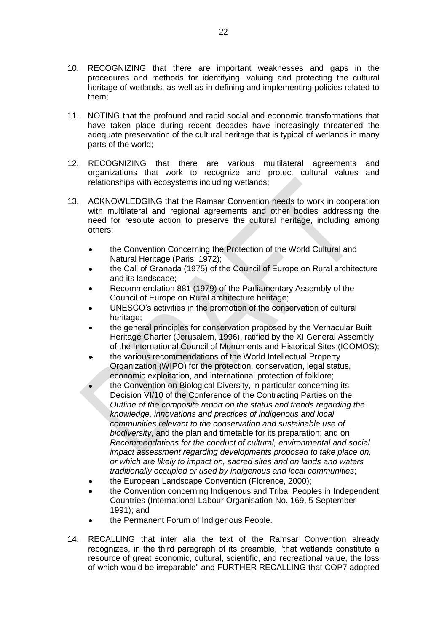- 10. RECOGNIZING that there are important weaknesses and gaps in the procedures and methods for identifying, valuing and protecting the cultural heritage of wetlands, as well as in defining and implementing policies related to them;
- 11. NOTING that the profound and rapid social and economic transformations that have taken place during recent decades have increasingly threatened the adequate preservation of the cultural heritage that is typical of wetlands in many parts of the world;
- 12. RECOGNIZING that there are various multilateral agreements and organizations that work to recognize and protect cultural values and relationships with ecosystems including wetlands;
- 13. ACKNOWLEDGING that the Ramsar Convention needs to work in cooperation with multilateral and regional agreements and other bodies addressing the need for resolute action to preserve the cultural heritage, including among others:
	- the Convention Concerning the Protection of the World Cultural and Natural Heritage (Paris, 1972);
	- the Call of Granada (1975) of the Council of Europe on Rural architecture  $\bullet$ and its landscape;
	- Recommendation 881 (1979) of the Parliamentary Assembly of the Council of Europe on Rural architecture heritage;
	- UNESCO's activities in the promotion of the conservation of cultural heritage:
	- the general principles for conservation proposed by the Vernacular Built Heritage Charter (Jerusalem, 1996), ratified by the XI General Assembly of the International Council of Monuments and Historical Sites (ICOMOS);
	- the various recommendations of the World Intellectual Property  $\bullet$ Organization (WIPO) for the protection, conservation, legal status, economic exploitation, and international protection of folklore;
	- the Convention on Biological Diversity, in particular concerning its Decision VI/10 of the Conference of the Contracting Parties on the *Outline of the composite report on the status and trends regarding the knowledge, innovations and practices of indigenous and local communities relevant to the conservation and sustainable use of biodiversity*, and the plan and timetable for its preparation; and on *Recommendations for the conduct of cultural, environmental and social impact assessment regarding developments proposed to take place on, or which are likely to impact on, sacred sites and on lands and waters traditionally occupied or used by indigenous and local communities*;
	- the European Landscape Convention (Florence, 2000);
	- the Convention concerning Indigenous and Tribal Peoples in Independent Countries (International Labour Organisation No. 169, 5 September 1991); and
	- the Permanent Forum of Indigenous People.
- 14. RECALLING that inter alia the text of the Ramsar Convention already recognizes, in the third paragraph of its preamble, "that wetlands constitute a resource of great economic, cultural, scientific, and recreational value, the loss of which would be irreparable" and FURTHER RECALLING that COP7 adopted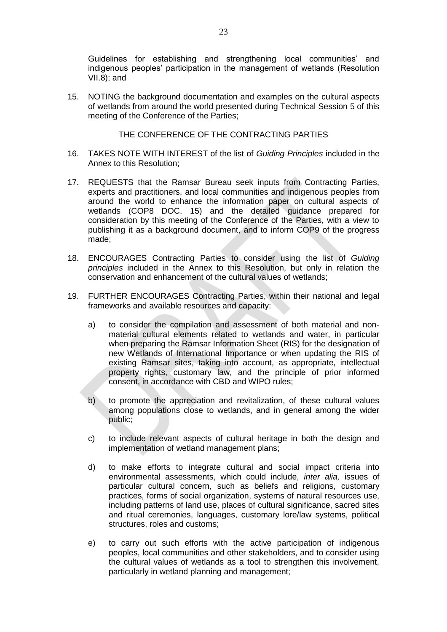Guidelines for establishing and strengthening local communities' and indigenous peoples' participation in the management of wetlands (Resolution VII.8); and

15. NOTING the background documentation and examples on the cultural aspects of wetlands from around the world presented during Technical Session 5 of this meeting of the Conference of the Parties;

THE CONFERENCE OF THE CONTRACTING PARTIES

- 16. TAKES NOTE WITH INTEREST of the list of *Guiding Principles* included in the Annex to this Resolution;
- 17. REQUESTS that the Ramsar Bureau seek inputs from Contracting Parties, experts and practitioners, and local communities and indigenous peoples from around the world to enhance the information paper on cultural aspects of wetlands (COP8 DOC. 15) and the detailed guidance prepared for consideration by this meeting of the Conference of the Parties, with a view to publishing it as a background document, and to inform COP9 of the progress made;
- 18. ENCOURAGES Contracting Parties to consider using the list of *Guiding principles* included in the Annex to this Resolution, but only in relation the conservation and enhancement of the cultural values of wetlands;
- 19. FURTHER ENCOURAGES Contracting Parties, within their national and legal frameworks and available resources and capacity:
	- a) to consider the compilation and assessment of both material and nonmaterial cultural elements related to wetlands and water, in particular when preparing the Ramsar Information Sheet (RIS) for the designation of new Wetlands of International Importance or when updating the RIS of existing Ramsar sites, taking into account, as appropriate, intellectual property rights, customary law, and the principle of prior informed consent, in accordance with CBD and WIPO rules;
	- b) to promote the appreciation and revitalization, of these cultural values among populations close to wetlands, and in general among the wider public;
	- c) to include relevant aspects of cultural heritage in both the design and implementation of wetland management plans;
	- d) to make efforts to integrate cultural and social impact criteria into environmental assessments, which could include, *inter alia,* issues of particular cultural concern, such as beliefs and religions, customary practices, forms of social organization, systems of natural resources use, including patterns of land use, places of cultural significance, sacred sites and ritual ceremonies, languages, customary lore/law systems, political structures, roles and customs;
	- e) to carry out such efforts with the active participation of indigenous peoples, local communities and other stakeholders, and to consider using the cultural values of wetlands as a tool to strengthen this involvement, particularly in wetland planning and management;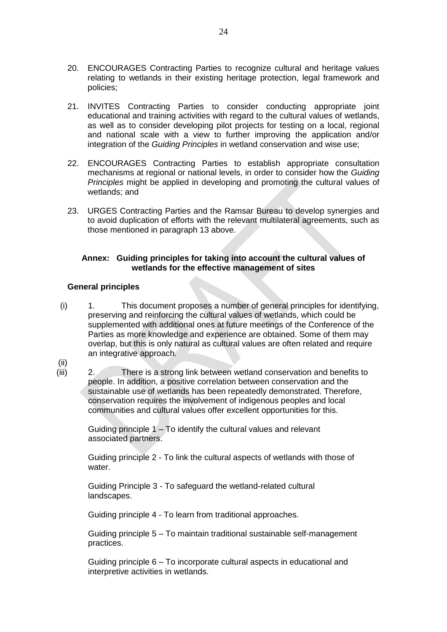- 20. ENCOURAGES Contracting Parties to recognize cultural and heritage values relating to wetlands in their existing heritage protection, legal framework and policies;
- 21. INVITES Contracting Parties to consider conducting appropriate joint educational and training activities with regard to the cultural values of wetlands, as well as to consider developing pilot projects for testing on a local, regional and national scale with a view to further improving the application and/or integration of the *Guiding Principles* in wetland conservation and wise use;
- 22. ENCOURAGES Contracting Parties to establish appropriate consultation mechanisms at regional or national levels, in order to consider how the *Guiding Principles* might be applied in developing and promoting the cultural values of wetlands; and
- 23. URGES Contracting Parties and the Ramsar Bureau to develop synergies and to avoid duplication of efforts with the relevant multilateral agreements, such as those mentioned in paragraph 13 above.

#### **Annex: Guiding principles for taking into account the cultural values of wetlands for the effective management of sites**

### **General principles**

- (i) 1. This document proposes a number of general principles for identifying, preserving and reinforcing the cultural values of wetlands, which could be supplemented with additional ones at future meetings of the Conference of the Parties as more knowledge and experience are obtained. Some of them may overlap, but this is only natural as cultural values are often related and require an integrative approach.
- (ii)
- (iii) 2. There is a strong link between wetland conservation and benefits to people. In addition, a positive correlation between conservation and the sustainable use of wetlands has been repeatedly demonstrated. Therefore, conservation requires the involvement of indigenous peoples and local communities and cultural values offer excellent opportunities for this.

Guiding principle 1 – To identify the cultural values and relevant associated partners.

Guiding principle 2 - To link the cultural aspects of wetlands with those of water.

Guiding Principle 3 - To safeguard the wetland-related cultural landscapes.

Guiding principle 4 - To learn from traditional approaches.

Guiding principle 5 – To maintain traditional sustainable self-management practices.

Guiding principle 6 – To incorporate cultural aspects in educational and interpretive activities in wetlands.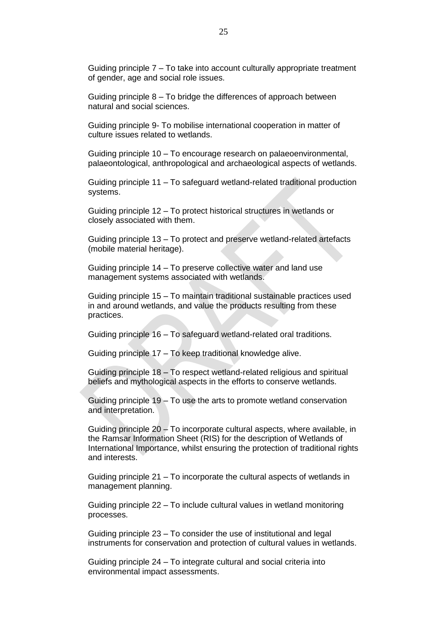Guiding principle 7 – To take into account culturally appropriate treatment of gender, age and social role issues.

Guiding principle 8 – To bridge the differences of approach between natural and social sciences.

Guiding principle 9- To mobilise international cooperation in matter of culture issues related to wetlands.

Guiding principle 10 – To encourage research on palaeoenvironmental, palaeontological, anthropological and archaeological aspects of wetlands.

Guiding principle 11 – To safeguard wetland-related traditional production systems.

Guiding principle 12 – To protect historical structures in wetlands or closely associated with them.

Guiding principle 13 – To protect and preserve wetland-related artefacts (mobile material heritage).

Guiding principle 14 – To preserve collective water and land use management systems associated with wetlands.

Guiding principle 15 – To maintain traditional sustainable practices used in and around wetlands, and value the products resulting from these practices.

Guiding principle 16 – To safeguard wetland-related oral traditions.

Guiding principle 17 – To keep traditional knowledge alive.

Guiding principle 18 – To respect wetland-related religious and spiritual beliefs and mythological aspects in the efforts to conserve wetlands.

Guiding principle 19 – To use the arts to promote wetland conservation and interpretation.

Guiding principle 20 – To incorporate cultural aspects, where available, in the Ramsar Information Sheet (RIS) for the description of Wetlands of International Importance, whilst ensuring the protection of traditional rights and interests.

Guiding principle 21 – To incorporate the cultural aspects of wetlands in management planning.

Guiding principle 22 – To include cultural values in wetland monitoring processes.

Guiding principle 23 – To consider the use of institutional and legal instruments for conservation and protection of cultural values in wetlands.

Guiding principle 24 – To integrate cultural and social criteria into environmental impact assessments.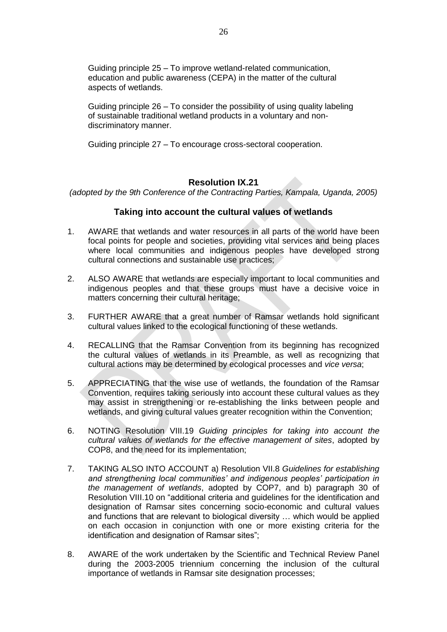Guiding principle 25 – To improve wetland-related communication, education and public awareness (CEPA) in the matter of the cultural aspects of wetlands.

Guiding principle 26 – To consider the possibility of using quality labeling of sustainable traditional wetland products in a voluntary and nondiscriminatory manner.

Guiding principle 27 – To encourage cross-sectoral cooperation.

## **Resolution IX.21**

*(adopted by the 9th Conference of the Contracting Parties, Kampala, Uganda, 2005)*

### **Taking into account the cultural values of wetlands**

- 1. AWARE that wetlands and water resources in all parts of the world have been focal points for people and societies, providing vital services and being places where local communities and indigenous peoples have developed strong cultural connections and sustainable use practices;
- 2. ALSO AWARE that wetlands are especially important to local communities and indigenous peoples and that these groups must have a decisive voice in matters concerning their cultural heritage;
- 3. FURTHER AWARE that a great number of Ramsar wetlands hold significant cultural values linked to the ecological functioning of these wetlands.
- 4. RECALLING that the Ramsar Convention from its beginning has recognized the cultural values of wetlands in its Preamble, as well as recognizing that cultural actions may be determined by ecological processes and *vice versa*;
- 5. APPRECIATING that the wise use of wetlands, the foundation of the Ramsar Convention, requires taking seriously into account these cultural values as they may assist in strengthening or re-establishing the links between people and wetlands, and giving cultural values greater recognition within the Convention;
- 6. NOTING Resolution VIII.19 *Guiding principles for taking into account the cultural values of wetlands for the effective management of sites*, adopted by COP8, and the need for its implementation;
- 7. TAKING ALSO INTO ACCOUNT a) Resolution VII.8 *Guidelines for establishing and strengthening local communities' and indigenous peoples' participation in the management of wetlands*, adopted by COP7, and b) paragraph 30 of Resolution VIII.10 on "additional criteria and guidelines for the identification and designation of Ramsar sites concerning socio-economic and cultural values and functions that are relevant to biological diversity … which would be applied on each occasion in conjunction with one or more existing criteria for the identification and designation of Ramsar sites";
- 8. AWARE of the work undertaken by the Scientific and Technical Review Panel during the 2003-2005 triennium concerning the inclusion of the cultural importance of wetlands in Ramsar site designation processes;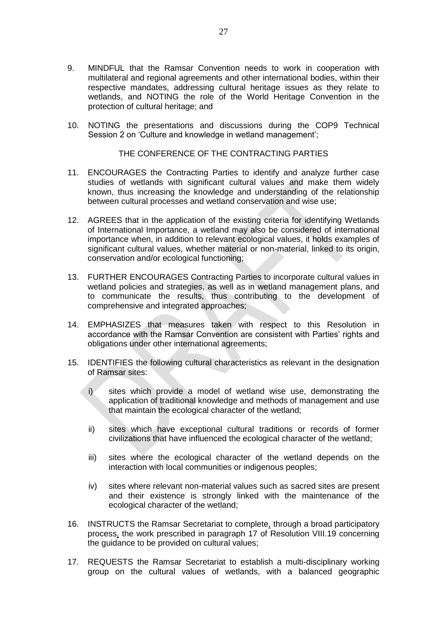- 9. MINDFUL that the Ramsar Convention needs to work in cooperation with multilateral and regional agreements and other international bodies, within their respective mandates, addressing cultural heritage issues as they relate to wetlands, and NOTING the role of the World Heritage Convention in the protection of cultural heritage; and
- 10. NOTING the presentations and discussions during the COP9 Technical Session 2 on 'Culture and knowledge in wetland management';

#### THE CONFERENCE OF THE CONTRACTING PARTIES

- 11. ENCOURAGES the Contracting Parties to identify and analyze further case studies of wetlands with significant cultural values and make them widely known, thus increasing the knowledge and understanding of the relationship between cultural processes and wetland conservation and wise use;
- 12. AGREES that in the application of the existing criteria for identifying Wetlands of International Importance, a wetland may also be considered of international importance when, in addition to relevant ecological values, it holds examples of significant cultural values, whether material or non-material, linked to its origin, conservation and/or ecological functioning;
- 13. FURTHER ENCOURAGES Contracting Parties to incorporate cultural values in wetland policies and strategies, as well as in wetland management plans, and to communicate the results, thus contributing to the development of comprehensive and integrated approaches;
- 14. EMPHASIZES that measures taken with respect to this Resolution in accordance with the Ramsar Convention are consistent with Parties' rights and obligations under other international agreements;
- 15. IDENTIFIES the following cultural characteristics as relevant in the designation of Ramsar sites:
	- i) sites which provide a model of wetland wise use, demonstrating the application of traditional knowledge and methods of management and use that maintain the ecological character of the wetland;
	- ii) sites which have exceptional cultural traditions or records of former civilizations that have influenced the ecological character of the wetland;
	- iii) sites where the ecological character of the wetland depends on the interaction with local communities or indigenous peoples;
	- iv) sites where relevant non-material values such as sacred sites are present and their existence is strongly linked with the maintenance of the ecological character of the wetland;
- 16. INSTRUCTS the Ramsar Secretariat to complete, through a broad participatory process, the work prescribed in paragraph 17 of Resolution VIII.19 concerning the guidance to be provided on cultural values;
- 17. REQUESTS the Ramsar Secretariat to establish a multi-disciplinary working group on the cultural values of wetlands, with a balanced geographic